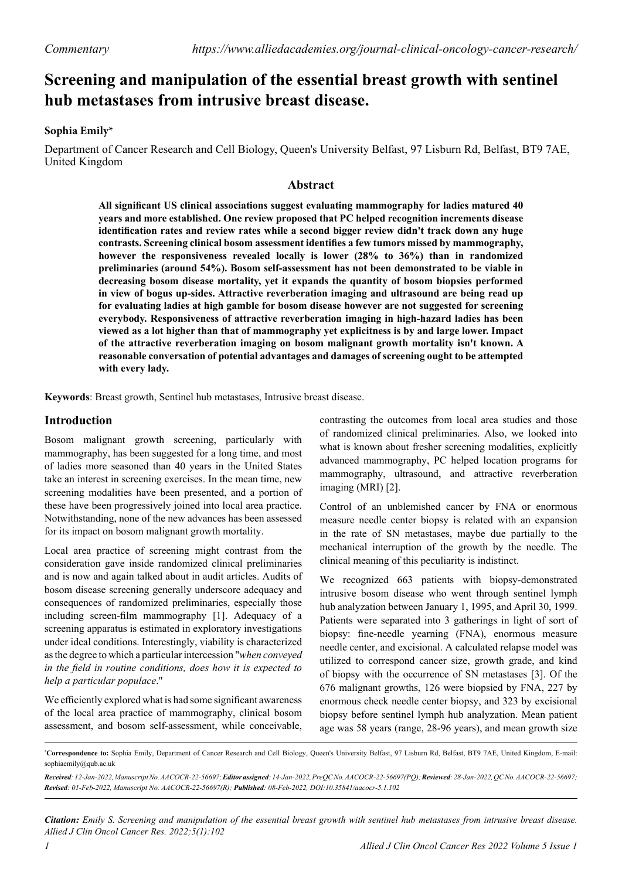# **Screening and manipulation of the essential breast growth with sentinel hub metastases from intrusive breast disease.**

### **Sophia Emily\***

Department of Cancer Research and Cell Biology, Queen's University Belfast, 97 Lisburn Rd, Belfast, BT9 7AE, United Kingdom

### **Abstract**

**All significant US clinical associations suggest evaluating mammography for ladies matured 40 years and more established. One review proposed that PC helped recognition increments disease identification rates and review rates while a second bigger review didn't track down any huge contrasts. Screening clinical bosom assessment identifies a few tumors missed by mammography, however the responsiveness revealed locally is lower (28% to 36%) than in randomized preliminaries (around 54%). Bosom self-assessment has not been demonstrated to be viable in decreasing bosom disease mortality, yet it expands the quantity of bosom biopsies performed in view of bogus up-sides. Attractive reverberation imaging and ultrasound are being read up for evaluating ladies at high gamble for bosom disease however are not suggested for screening everybody. Responsiveness of attractive reverberation imaging in high-hazard ladies has been viewed as a lot higher than that of mammography yet explicitness is by and large lower. Impact of the attractive reverberation imaging on bosom malignant growth mortality isn't known. A reasonable conversation of potential advantages and damages of screening ought to be attempted with every lady.**

**Keywords**: Breast growth, Sentinel hub metastases, Intrusive breast disease.

## **Introduction**

Bosom malignant growth screening, particularly with mammography, has been suggested for a long time, and most of ladies more seasoned than 40 years in the United States take an interest in screening exercises. In the mean time, new screening modalities have been presented, and a portion of these have been progressively joined into local area practice. Notwithstanding, none of the new advances has been assessed for its impact on bosom malignant growth mortality.

Local area practice of screening might contrast from the consideration gave inside randomized clinical preliminaries and is now and again talked about in audit articles. Audits of bosom disease screening generally underscore adequacy and consequences of randomized preliminaries, especially those including screen-film mammography [1]. Adequacy of a screening apparatus is estimated in exploratory investigations under ideal conditions. Interestingly, viability is characterized as the degree to which a particular intercession "*when conveyed in the field in routine conditions, does how it is expected to help a particular populace*."

We efficiently explored what is had some significant awareness of the local area practice of mammography, clinical bosom assessment, and bosom self-assessment, while conceivable,

contrasting the outcomes from local area studies and those of randomized clinical preliminaries. Also, we looked into what is known about fresher screening modalities, explicitly advanced mammography, PC helped location programs for mammography, ultrasound, and attractive reverberation imaging (MRI) [2].

Control of an unblemished cancer by FNA or enormous measure needle center biopsy is related with an expansion in the rate of SN metastases, maybe due partially to the mechanical interruption of the growth by the needle. The clinical meaning of this peculiarity is indistinct.

We recognized 663 patients with biopsy-demonstrated intrusive bosom disease who went through sentinel lymph hub analyzation between January 1, 1995, and April 30, 1999. Patients were separated into 3 gatherings in light of sort of biopsy: fine-needle yearning (FNA), enormous measure needle center, and excisional. A calculated relapse model was utilized to correspond cancer size, growth grade, and kind of biopsy with the occurrence of SN metastases [3]. Of the 676 malignant growths, 126 were biopsied by FNA, 227 by enormous check needle center biopsy, and 323 by excisional biopsy before sentinel lymph hub analyzation. Mean patient age was 58 years (range, 28-96 years), and mean growth size

*Citation: Emily S. Screening and manipulation of the essential breast growth with sentinel hub metastases from intrusive breast disease. Allied J Clin Oncol Cancer Res. 2022;5(1):102*

**<sup>\*</sup> Correspondence to:** Sophia Emily, Department of Cancer Research and Cell Biology, Queen's University Belfast, 97 Lisburn Rd, Belfast, BT9 7AE, United Kingdom, E-mail: [sophiaemily@qub.ac.uk](mailto:sophiaemily@qub.ac.uk)

*Received: 12-Jan-2022, Manuscript No. AACOCR-22-56697; Editor assigned: 14-Jan-2022, PreQC No. AACOCR-22-56697(PQ); Reviewed: 28-Jan-2022, QC No. AACOCR-22-56697; Revised: 01-Feb-2022, Manuscript No. AACOCR-22-56697(R); Published: 08-Feb-2022, DOI:10.35841/aacocr-5.1.102*